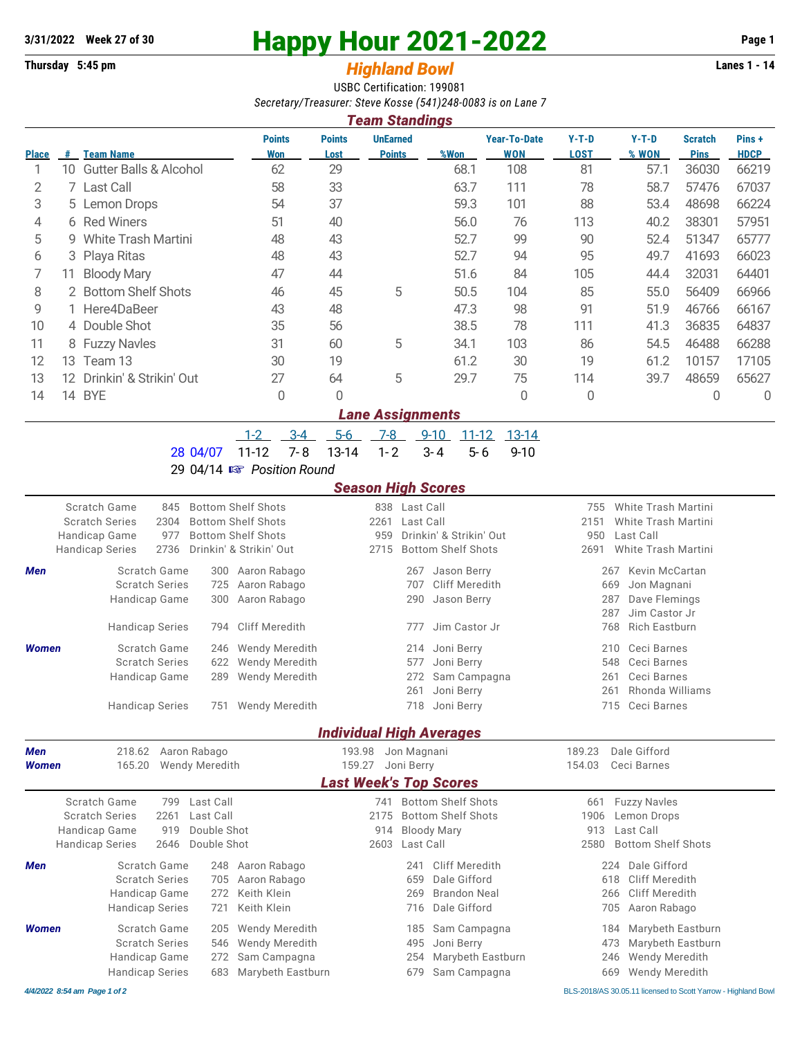## **3/31/2022 Week 27 of 30 Happy Hour 2021-2022 Page 1**

## **Thursday 5:45 pm** *Highland Bowl* **Lanes 1 - 14**

USBC Certification: 199081 *Secretary/Treasurer: Steve Kosse (541)248-0083 is on Lane 7*

| <b>Team Standings</b> |     |                                   |                             |                       |                                  |      |                                   |                 |                  |                               |                      |  |
|-----------------------|-----|-----------------------------------|-----------------------------|-----------------------|----------------------------------|------|-----------------------------------|-----------------|------------------|-------------------------------|----------------------|--|
| <b>Place</b>          | #   | <b>Team Name</b>                  | <b>Points</b><br><b>Won</b> | <b>Points</b><br>Lost | <b>UnEarned</b><br><b>Points</b> | %Won | <b>Year-To-Date</b><br><b>WON</b> | $Y-T-D$<br>LOST | $Y-T-D$<br>% WON | <b>Scratch</b><br><b>Pins</b> | Pins+<br><b>HDCP</b> |  |
|                       | 10  | <b>Gutter Balls &amp; Alcohol</b> | 62                          | 29                    |                                  | 68.1 | 108                               | 81              | 57.1             | 36030                         | 66219                |  |
| 2                     |     | 7 Last Call                       | 58                          | 33                    |                                  | 63.7 | 111                               | 78              | 58.7             | 57476                         | 67037                |  |
| 3                     |     | 5 Lemon Drops                     | 54                          | 37                    |                                  | 59.3 | 101                               | 88              | 53.4             | 48698                         | 66224                |  |
| 4                     |     | 6 Red Winers                      | 51                          | 40                    |                                  | 56.0 | 76                                | 113             | 40.2             | 38301                         | 57951                |  |
| 5                     |     | 9 White Trash Martini             | 48                          | 43                    |                                  | 52.7 | 99                                | 90              | 52.4             | 51347                         | 65777                |  |
| 6                     |     | 3 Playa Ritas                     | 48                          | 43                    |                                  | 52.7 | 94                                | 95              | 49.7             | 41693                         | 66023                |  |
|                       | 11  | <b>Bloody Mary</b>                | 47                          | 44                    |                                  | 51.6 | 84                                | 105             | 44.4             | 32031                         | 64401                |  |
| 8                     |     | 2 Bottom Shelf Shots              | 46                          | 45                    | 5                                | 50.5 | 104                               | 85              | 55.0             | 56409                         | 66966                |  |
| 9                     |     | 1 Here4DaBeer                     | 43                          | 48                    |                                  | 47.3 | 98                                | 91              | 51.9             | 46766                         | 66167                |  |
| 10                    |     | 4 Double Shot                     | 35                          | 56                    |                                  | 38.5 | 78                                | 111             | 41.3             | 36835                         | 64837                |  |
| 11                    |     | 8 Fuzzy Navles                    | 31                          | 60                    | 5                                | 34.1 | 103                               | 86              | 54.5             | 46488                         | 66288                |  |
| 12                    | 13. | Team 13                           | 30                          | 19                    |                                  | 61.2 | 30                                | 19              | 61.2             | 10157                         | 17105                |  |
| 13                    | 12. | Drinkin' & Strikin' Out           | 27                          | 64                    | 5                                | 29.7 | 75                                | 114             | 39.7             | 48659                         | 65627                |  |
| 14                    | 14  | <b>BYE</b>                        | 0                           | 0                     |                                  |      | $\Omega$                          | 0               |                  | 0                             | 0                    |  |
|                       |     |                                   |                             |                       | ana Agaismmanta                  |      |                                   |                 |                  |                               |                      |  |

*Lane Assignments* 1-2 3-4 5-6 7-8 9-10 11-12 13-14

28 04/07 11-12 7-8 13-14 1-2 3-4 5-6 9-10

29 04/14 { *Position Round*

## *Season High Scores*

| JEASUN HIYII JUULES |                        |              |                       |                           |                                 |               |                           |        |                              |  |
|---------------------|------------------------|--------------|-----------------------|---------------------------|---------------------------------|---------------|---------------------------|--------|------------------------------|--|
|                     | Scratch Game           | 845          |                       | <b>Bottom Shelf Shots</b> |                                 | 838 Last Call |                           | 755    | White Trash Martini          |  |
|                     | <b>Scratch Series</b>  | 2304         |                       | <b>Bottom Shelf Shots</b> | 2261                            | Last Call     |                           | 2151   | White Trash Martini          |  |
|                     | Handicap Game          | 977          |                       | <b>Bottom Shelf Shots</b> | 959                             |               | Drinkin' & Strikin' Out   | 950    | Last Call                    |  |
|                     | <b>Handicap Series</b> | 2736         |                       | Drinkin' & Strikin' Out   | 2715                            |               | <b>Bottom Shelf Shots</b> | 2691   | <b>White Trash Martini</b>   |  |
| <b>Men</b>          |                        | Scratch Game | 300                   | Aaron Rabago              |                                 | 267           | Jason Berry               |        | <b>Kevin McCartan</b><br>267 |  |
|                     | <b>Scratch Series</b>  |              | 725                   | Aaron Rabago              |                                 | 707           | Cliff Meredith            |        | Jon Magnani<br>669           |  |
|                     | Handicap Game          |              | 300                   | Aaron Rabago              |                                 | 290           | Jason Berry               |        | Dave Flemings<br>287         |  |
|                     |                        |              |                       |                           |                                 |               |                           |        | Jim Castor Jr<br>287         |  |
|                     | <b>Handicap Series</b> |              | 794                   | <b>Cliff Meredith</b>     |                                 | 777           | Jim Castor Jr             |        | <b>Rich Eastburn</b><br>768  |  |
| <b>Women</b>        |                        | Scratch Game | 246                   | <b>Wendy Meredith</b>     |                                 | 214           | Joni Berry                |        | Ceci Barnes<br>210           |  |
|                     | <b>Scratch Series</b>  |              | 622                   | Wendy Meredith            |                                 | 577           | Joni Berry                |        | Ceci Barnes<br>548           |  |
|                     | Handicap Game          |              | 289                   | <b>Wendy Meredith</b>     |                                 | 272           | Sam Campagna              |        | Ceci Barnes<br>261           |  |
|                     |                        |              |                       |                           |                                 | 261           | Joni Berry                |        | Rhonda Williams<br>261       |  |
|                     | <b>Handicap Series</b> |              | 751                   | <b>Wendy Meredith</b>     |                                 | 718           | Joni Berry                |        | 715<br>Ceci Barnes           |  |
|                     |                        |              |                       |                           | <b>Individual High Averages</b> |               |                           |        |                              |  |
| <b>Men</b>          |                        |              | 218.62 Aaron Rabago   |                           | 193.98                          | Jon Magnani   |                           | 189.23 | Dale Gifford                 |  |
| Women               | 165.20                 |              | <b>Wendy Meredith</b> |                           | 159.27                          | Joni Berry    |                           | 154.03 | Ceci Barnes                  |  |
|                     |                        |              |                       |                           | <b>Last Week's Top Scores</b>   |               |                           |        |                              |  |
|                     | Scratch Game           | 799          | Last Call             |                           | 741                             |               | <b>Bottom Shelf Shots</b> | 661    | <b>Fuzzy Navles</b>          |  |
|                     | <b>Scratch Series</b>  | 2261         | Last Call             |                           | 2175                            |               | <b>Bottom Shelf Shots</b> | 1906   | Lemon Drops                  |  |
|                     | Handicap Game          | 919          | Double Shot           |                           | 914                             |               | <b>Bloody Mary</b>        | 913    | Last Call                    |  |
|                     | <b>Handicap Series</b> | 2646         | Double Shot           |                           | 2603                            | Last Call     |                           | 2580   | <b>Bottom Shelf Shots</b>    |  |
| <b>Men</b>          |                        | Scratch Game | 248                   | Aaron Rabago              |                                 | 241           | Cliff Meredith            |        | Dale Gifford<br>224          |  |
|                     | <b>Scratch Series</b>  |              | 705                   | Aaron Rabago              |                                 | 659           | Dale Gifford              |        | <b>Cliff Meredith</b><br>618 |  |
|                     | Handicap Game          |              | 272                   | Keith Klein               |                                 | 269           | <b>Brandon Neal</b>       |        | Cliff Meredith<br>266        |  |
|                     | <b>Handicap Series</b> |              | 721                   | Keith Klein               |                                 | 716           | Dale Gifford              |        | Aaron Rabago<br>705          |  |
| <b>Women</b>        |                        | Scratch Game | 205                   | <b>Wendy Meredith</b>     |                                 | 185           | Sam Campagna              |        | Marybeth Eastburn<br>184     |  |
|                     | <b>Scratch Series</b>  |              | 546                   | <b>Wendy Meredith</b>     |                                 | 495           | Joni Berry                |        | Marybeth Eastburn<br>473     |  |
|                     | Handicap Game          |              | 272                   | Sam Campagna              |                                 | 254           | Marybeth Eastburn         |        | Wendy Meredith<br>246        |  |
|                     | <b>Handicap Series</b> |              | 683                   | Marybeth Eastburn         |                                 | 679           | Sam Campagna              |        | Wendy Meredith<br>669        |  |
|                     |                        |              |                       |                           |                                 |               |                           |        |                              |  |

*4/4/2022 8:54 am Page 1 of 2* BLS-2018/AS 30.05.11 licensed to Scott Yarrow - Highland Bowl